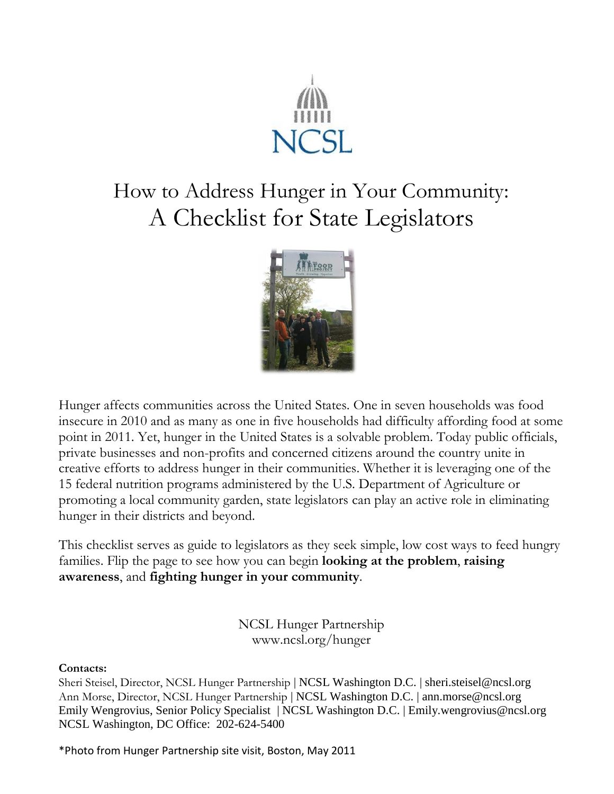

# How to Address Hunger in Your Community: A Checklist for State Legislators



Hunger affects communities across the United States. One in seven households was food insecure in 2010 and as many as one in five households had difficulty affording food at some point in 2011. Yet, hunger in the United States is a solvable problem. Today public officials, private businesses and non-profits and concerned citizens around the country unite in creative efforts to address hunger in their communities. Whether it is leveraging one of the 15 federal nutrition programs administered by the U.S. Department of Agriculture or promoting a local community garden, state legislators can play an active role in eliminating hunger in their districts and beyond.

This checklist serves as guide to legislators as they seek simple, low cost ways to feed hungry families. Flip the page to see how you can begin **looking at the problem**, **raising awareness**, and **fighting hunger in your community**.

> NCSL Hunger Partnership www.ncsl.org/hunger

#### **Contacts:**

Sheri Steisel, Director, NCSL Hunger Partnership | NCSL Washington D.C. | sheri.steisel@ncsl.org Ann Morse, Director, NCSL Hunger Partnership | NCSL Washington D.C. | ann.morse@ncsl.org Emily Wengrovius, Senior Policy Specialist | NCSL Washington D.C. | Emily.wengrovius@ncsl.org NCSL Washington, DC Office: 202-624-5400

\*Photo from Hunger Partnership site visit, Boston, May 2011